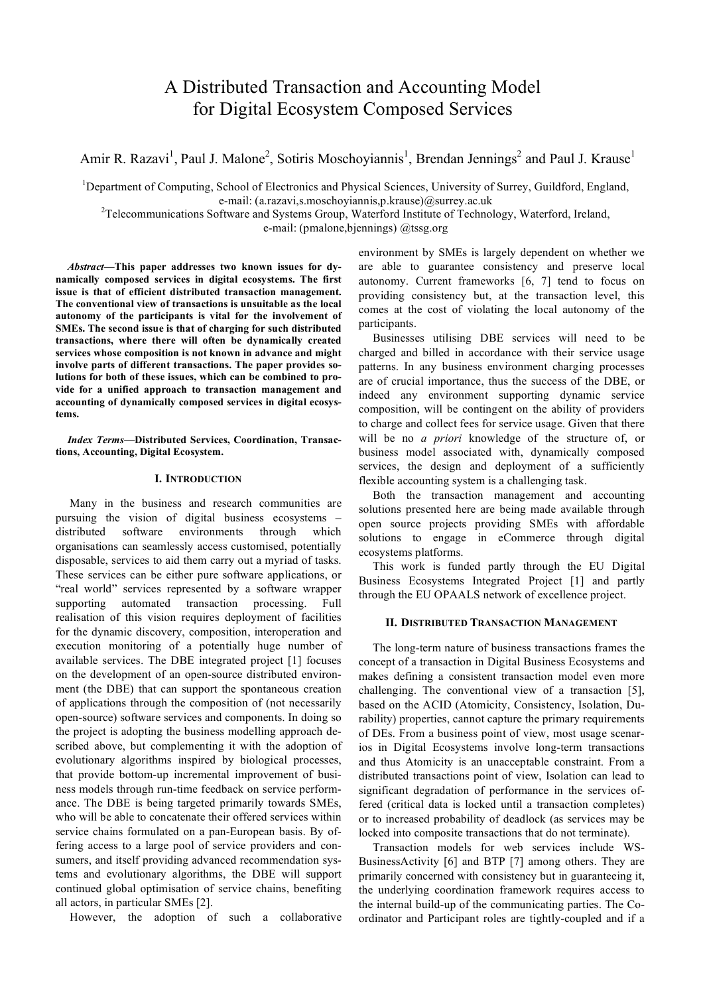# A Distributed Transaction and Accounting Model for Digital Ecosystem Composed Services

Amir R. Razavi<sup>1</sup>, Paul J. Malone<sup>2</sup>, Sotiris Moschoyiannis<sup>1</sup>, Brendan Jennings<sup>2</sup> and Paul J. Krause<sup>1</sup>

<sup>1</sup>Department of Computing, School of Electronics and Physical Sciences, University of Surrey, Guildford, England,

e-mail: (a.razavi,s.moschoyiannis,p.krause)@surrey.ac.uk

<sup>2</sup>Telecommunications Software and Systems Group, Waterford Institute of Technology, Waterford, Ireland,

e-mail: (pmalone, bjennings) @tssg.org

*Abstract***—This paper addresses two known issues for dynamically composed services in digital ecosystems. The first issue is that of efficient distributed transaction management. The conventional view of transactions is unsuitable as the local autonomy of the participants is vital for the involvement of SMEs. The second issue is that of charging for such distributed transactions, where there will often be dynamically created services whose composition is not known in advance and might involve parts of different transactions. The paper provides solutions for both of these issues, which can be combined to provide for a unified approach to transaction management and accounting of dynamically composed services in digital ecosystems.**

*Index Terms***—Distributed Services, Coordination, Transactions, Accounting, Digital Ecosystem.**

## **I. INTRODUCTION**

Many in the business and research communities are pursuing the vision of digital business ecosystems – distributed software environments through which organisations can seamlessly access customised, potentially disposable, services to aid them carry out a myriad of tasks. These services can be either pure software applications, or "real world" services represented by a software wrapper supporting automated transaction processing. Full realisation of this vision requires deployment of facilities for the dynamic discovery, composition, interoperation and execution monitoring of a potentially huge number of available services. The DBE integrated project [1] focuses on the development of an open-source distributed environment (the DBE) that can support the spontaneous creation of applications through the composition of (not necessarily open-source) software services and components. In doing so the project is adopting the business modelling approach described above, but complementing it with the adoption of evolutionary algorithms inspired by biological processes, that provide bottom-up incremental improvement of business models through run-time feedback on service performance. The DBE is being targeted primarily towards SMEs, who will be able to concatenate their offered services within service chains formulated on a pan-European basis. By offering access to a large pool of service providers and consumers, and itself providing advanced recommendation systems and evolutionary algorithms, the DBE will support continued global optimisation of service chains, benefiting all actors, in particular SMEs [2].

However, the adoption of such a collaborative

environment by SMEs is largely dependent on whether we are able to guarantee consistency and preserve local autonomy. Current frameworks [6, 7] tend to focus on providing consistency but, at the transaction level, this comes at the cost of violating the local autonomy of the participants.

Businesses utilising DBE services will need to be charged and billed in accordance with their service usage patterns. In any business environment charging processes are of crucial importance, thus the success of the DBE, or indeed any environment supporting dynamic service composition, will be contingent on the ability of providers to charge and collect fees for service usage. Given that there will be no *a priori* knowledge of the structure of, or business model associated with, dynamically composed services, the design and deployment of a sufficiently flexible accounting system is a challenging task.

Both the transaction management and accounting solutions presented here are being made available through open source projects providing SMEs with affordable solutions to engage in eCommerce through digital ecosystems platforms.

This work is funded partly through the EU Digital Business Ecosystems Integrated Project [1] and partly through the EU OPAALS network of excellence project.

# **II. DISTRIBUTED TRANSACTION MANAGEMENT**

The long-term nature of business transactions frames the concept of a transaction in Digital Business Ecosystems and makes defining a consistent transaction model even more challenging. The conventional view of a transaction [5], based on the ACID (Atomicity, Consistency, Isolation, Durability) properties, cannot capture the primary requirements of DEs. From a business point of view, most usage scenarios in Digital Ecosystems involve long-term transactions and thus Atomicity is an unacceptable constraint. From a distributed transactions point of view, Isolation can lead to significant degradation of performance in the services offered (critical data is locked until a transaction completes) or to increased probability of deadlock (as services may be locked into composite transactions that do not terminate).

Transaction models for web services include WS-BusinessActivity [6] and BTP [7] among others. They are primarily concerned with consistency but in guaranteeing it, the underlying coordination framework requires access to the internal build-up of the communicating parties. The Coordinator and Participant roles are tightly-coupled and if a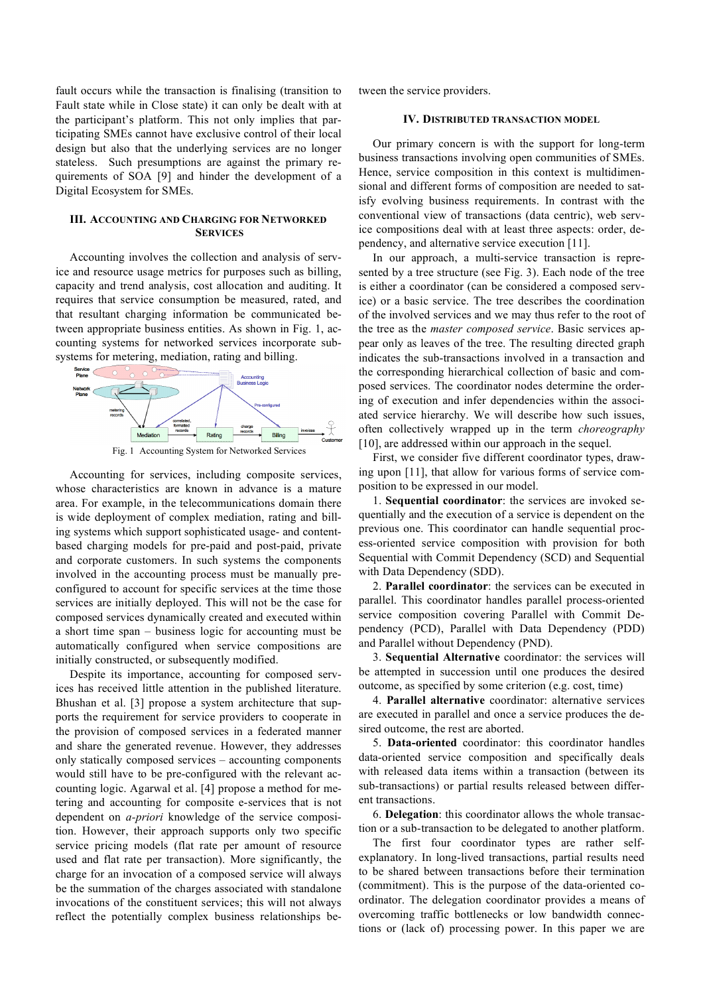fault occurs while the transaction is finalising (transition to Fault state while in Close state) it can only be dealt with at the participant's platform. This not only implies that participating SMEs cannot have exclusive control of their local design but also that the underlying services are no longer stateless. Such presumptions are against the primary requirements of SOA [9] and hinder the development of a Digital Ecosystem for SMEs.

# **III. ACCOUNTING AND CHARGING FOR NETWORKED SERVICES**

Accounting involves the collection and analysis of service and resource usage metrics for purposes such as billing, capacity and trend analysis, cost allocation and auditing. It requires that service consumption be measured, rated, and that resultant charging information be communicated between appropriate business entities. As shown in Fig. 1, accounting systems for networked services incorporate subsystems for metering, mediation, rating and billing.





Accounting for services, including composite services, whose characteristics are known in advance is a mature area. For example, in the telecommunications domain there is wide deployment of complex mediation, rating and billing systems which support sophisticated usage- and contentbased charging models for pre-paid and post-paid, private and corporate customers. In such systems the components involved in the accounting process must be manually preconfigured to account for specific services at the time those services are initially deployed. This will not be the case for composed services dynamically created and executed within a short time span – business logic for accounting must be automatically configured when service compositions are initially constructed, or subsequently modified.

Despite its importance, accounting for composed services has received little attention in the published literature. Bhushan et al. [3] propose a system architecture that supports the requirement for service providers to cooperate in the provision of composed services in a federated manner and share the generated revenue. However, they addresses only statically composed services – accounting components would still have to be pre-configured with the relevant accounting logic. Agarwal et al. [4] propose a method for metering and accounting for composite e-services that is not dependent on *a-priori* knowledge of the service composition. However, their approach supports only two specific service pricing models (flat rate per amount of resource used and flat rate per transaction). More significantly, the charge for an invocation of a composed service will always be the summation of the charges associated with standalone invocations of the constituent services; this will not always reflect the potentially complex business relationships between the service providers.

## **IV. DISTRIBUTED TRANSACTION MODEL**

Our primary concern is with the support for long-term business transactions involving open communities of SMEs. Hence, service composition in this context is multidimensional and different forms of composition are needed to satisfy evolving business requirements. In contrast with the conventional view of transactions (data centric), web service compositions deal with at least three aspects: order, dependency, and alternative service execution [11].

In our approach, a multi-service transaction is represented by a tree structure (see Fig. 3). Each node of the tree is either a coordinator (can be considered a composed service) or a basic service. The tree describes the coordination of the involved services and we may thus refer to the root of the tree as the *master composed service*. Basic services appear only as leaves of the tree. The resulting directed graph indicates the sub-transactions involved in a transaction and the corresponding hierarchical collection of basic and composed services. The coordinator nodes determine the ordering of execution and infer dependencies within the associated service hierarchy. We will describe how such issues, often collectively wrapped up in the term *choreography* [10], are addressed within our approach in the sequel.

First, we consider five different coordinator types, drawing upon [11], that allow for various forms of service composition to be expressed in our model.

1. **Sequential coordinator**: the services are invoked sequentially and the execution of a service is dependent on the previous one. This coordinator can handle sequential process-oriented service composition with provision for both Sequential with Commit Dependency (SCD) and Sequential with Data Dependency (SDD).

2. **Parallel coordinator**: the services can be executed in parallel. This coordinator handles parallel process-oriented service composition covering Parallel with Commit Dependency (PCD), Parallel with Data Dependency (PDD) and Parallel without Dependency (PND).

3. **Sequential Alternative** coordinator: the services will be attempted in succession until one produces the desired outcome, as specified by some criterion (e.g. cost, time)

4. **Parallel alternative** coordinator: alternative services are executed in parallel and once a service produces the desired outcome, the rest are aborted.

5. **Data-oriented** coordinator: this coordinator handles data-oriented service composition and specifically deals with released data items within a transaction (between its sub-transactions) or partial results released between different transactions.

6. **Delegation**: this coordinator allows the whole transaction or a sub-transaction to be delegated to another platform.

The first four coordinator types are rather selfexplanatory. In long-lived transactions, partial results need to be shared between transactions before their termination (commitment). This is the purpose of the data-oriented coordinator. The delegation coordinator provides a means of overcoming traffic bottlenecks or low bandwidth connections or (lack of) processing power. In this paper we are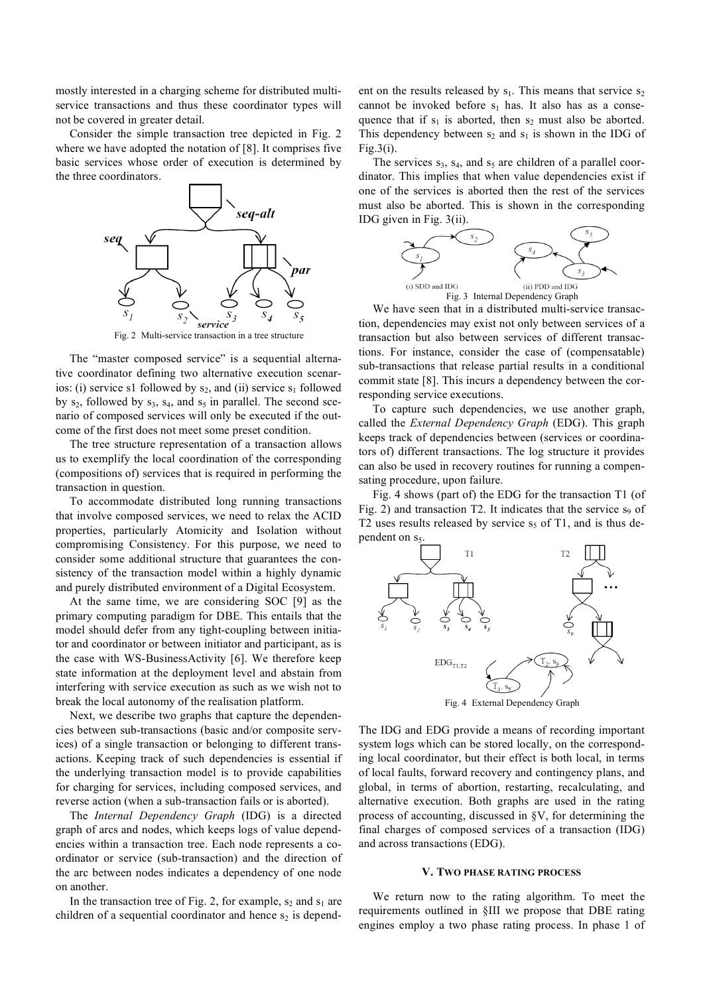mostly interested in a charging scheme for distributed multiservice transactions and thus these coordinator types will not be covered in greater detail.

Consider the simple transaction tree depicted in Fig. 2 where we have adopted the notation of [8]. It comprises five basic services whose order of execution is determined by the three coordinators.



Fig. 2 Multi-service transaction in a tree structure

The "master composed service" is a sequential alternative coordinator defining two alternative execution scenarios: (i) service s1 followed by  $s_2$ , and (ii) service  $s_1$  followed by  $s_2$ , followed by  $s_3$ ,  $s_4$ , and  $s_5$  in parallel. The second scenario of composed services will only be executed if the outcome of the first does not meet some preset condition.

The tree structure representation of a transaction allows us to exemplify the local coordination of the corresponding (compositions of) services that is required in performing the transaction in question.

To accommodate distributed long running transactions that involve composed services, we need to relax the ACID properties, particularly Atomicity and Isolation without compromising Consistency. For this purpose, we need to consider some additional structure that guarantees the consistency of the transaction model within a highly dynamic and purely distributed environment of a Digital Ecosystem.

At the same time, we are considering SOC [9] as the primary computing paradigm for DBE. This entails that the model should defer from any tight-coupling between initiator and coordinator or between initiator and participant, as is the case with WS-BusinessActivity [6]. We therefore keep state information at the deployment level and abstain from interfering with service execution as such as we wish not to break the local autonomy of the realisation platform.

Next, we describe two graphs that capture the dependencies between sub-transactions (basic and/or composite services) of a single transaction or belonging to different transactions. Keeping track of such dependencies is essential if the underlying transaction model is to provide capabilities for charging for services, including composed services, and reverse action (when a sub-transaction fails or is aborted).

The *Internal Dependency Graph* (IDG) is a directed graph of arcs and nodes, which keeps logs of value dependencies within a transaction tree. Each node represents a coordinator or service (sub-transaction) and the direction of the arc between nodes indicates a dependency of one node on another.

In the transaction tree of Fig. 2, for example,  $s_2$  and  $s_1$  are children of a sequential coordinator and hence  $s_2$  is dependent on the results released by  $s_1$ . This means that service  $s_2$ cannot be invoked before  $s_1$  has. It also has as a consequence that if  $s_1$  is aborted, then  $s_2$  must also be aborted. This dependency between  $s_2$  and  $s_1$  is shown in the IDG of  $Fig.3(i)$ .

The services  $s_3$ ,  $s_4$ , and  $s_5$  are children of a parallel coordinator. This implies that when value dependencies exist if one of the services is aborted then the rest of the services must also be aborted. This is shown in the corresponding IDG given in Fig. 3(ii).



We have seen that in a distributed multi-service transaction, dependencies may exist not only between services of a transaction but also between services of different transactions. For instance, consider the case of (compensatable) sub-transactions that release partial results in a conditional commit state [8]. This incurs a dependency between the corresponding service executions.

To capture such dependencies, we use another graph, called the *External Dependency Graph* (EDG). This graph keeps track of dependencies between (services or coordinators of) different transactions. The log structure it provides can also be used in recovery routines for running a compensating procedure, upon failure.

Fig. 4 shows (part of) the EDG for the transaction T1 (of Fig. 2) and transaction T2. It indicates that the service  $s<sub>9</sub>$  of T2 uses results released by service  $s<sub>5</sub>$  of T1, and is thus dependent on s<sub>5</sub>.



The IDG and EDG provide a means of recording important system logs which can be stored locally, on the corresponding local coordinator, but their effect is both local, in terms of local faults, forward recovery and contingency plans, and global, in terms of abortion, restarting, recalculating, and alternative execution. Both graphs are used in the rating process of accounting, discussed in §V, for determining the final charges of composed services of a transaction (IDG) and across transactions (EDG).

#### **V. TWO PHASE RATING PROCESS**

We return now to the rating algorithm. To meet the requirements outlined in §III we propose that DBE rating engines employ a two phase rating process. In phase 1 of